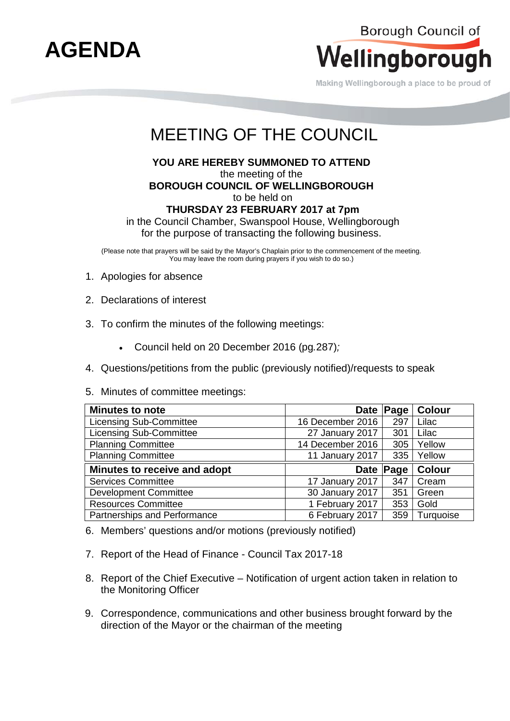

Making Wellingborough a place to be proud of

# MEETING OF THE COUNCIL

**YOU ARE HEREBY SUMMONED TO ATTEND** 

the meeting of the **BOROUGH COUNCIL OF WELLINGBOROUGH**

to be held on

## **THURSDAY 23 FEBRUARY 2017 at 7pm**

in the Council Chamber, Swanspool House, Wellingborough for the purpose of transacting the following business.

(Please note that prayers will be said by the Mayor's Chaplain prior to the commencement of the meeting. You may leave the room during prayers if you wish to do so.)

- 1. Apologies for absence
- 2. Declarations of interest
- 3. To confirm the minutes of the following meetings:
	- Council held on 20 December 2016 (pg*.*287)*;*
- 4. Questions/petitions from the public (previously notified)/requests to speak
- 5. Minutes of committee meetings:

| <b>Minutes to note</b>         |                  | Date Page | <b>Colour</b> |
|--------------------------------|------------------|-----------|---------------|
| <b>Licensing Sub-Committee</b> | 16 December 2016 | 297       | Lilac         |
| <b>Licensing Sub-Committee</b> | 27 January 2017  | 301       | Lilac         |
| <b>Planning Committee</b>      | 14 December 2016 | 305       | Yellow        |
| <b>Planning Committee</b>      | 11 January 2017  | 335       | Yellow        |
|                                |                  |           |               |
| Minutes to receive and adopt   |                  | Date Page | Colour        |
| <b>Services Committee</b>      | 17 January 2017  | 347       | Cream         |
| <b>Development Committee</b>   | 30 January 2017  | 351       | Green         |
| <b>Resources Committee</b>     | 1 February 2017  | 353       | Gold          |

- 6. Members' questions and/or motions (previously notified)
- 7. Report of the Head of Finance Council Tax 2017-18
- 8. Report of the Chief Executive Notification of urgent action taken in relation to the Monitoring Officer
- 9. Correspondence, communications and other business brought forward by the direction of the Mayor or the chairman of the meeting